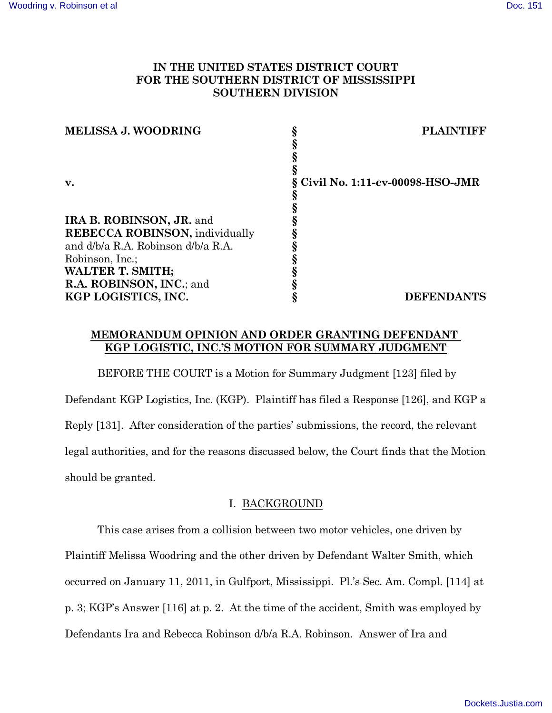## **IN THE UNITED STATES DISTRICT COURT FOR THE SOUTHERN DISTRICT OF MISSISSIPPI SOUTHERN DIVISION**

| <b>MELISSA J. WOODRING</b>             | <b>PLAINTIFF</b>                  |
|----------------------------------------|-----------------------------------|
|                                        |                                   |
|                                        |                                   |
|                                        |                                   |
| $\mathbf{v}$ .                         | § Civil No. 1:11-cv-00098-HSO-JMR |
|                                        |                                   |
|                                        |                                   |
| IRA B. ROBINSON, JR. and               |                                   |
| <b>REBECCA ROBINSON</b> , individually |                                   |
| and d/b/a R.A. Robinson d/b/a R.A.     |                                   |
| Robinson, Inc.;                        |                                   |
| <b>WALTER T. SMITH;</b>                |                                   |
| R.A. ROBINSON, INC.; and               |                                   |
| KGP LOGISTICS, INC.                    | <b>DEFENDANTS</b>                 |

## **MEMORANDUM OPINION AND ORDER GRANTING DEFENDANT KGP LOGISTIC, INC.'S MOTION FOR SUMMARY JUDGMENT**

BEFORE THE COURT is a Motion for Summary Judgment [123] filed by Defendant KGP Logistics, Inc. (KGP). Plaintiff has filed a Response [126], and KGP a Reply [131]. After consideration of the parties' submissions, the record, the relevant legal authorities, and for the reasons discussed below, the Court finds that the Motion should be granted.

# I. BACKGROUND

This case arises from a collision between two motor vehicles, one driven by Plaintiff Melissa Woodring and the other driven by Defendant Walter Smith, which occurred on January 11, 2011, in Gulfport, Mississippi. Pl.'s Sec. Am. Compl. [114] at p. 3; KGP's Answer [116] at p. 2. At the time of the accident, Smith was employed by Defendants Ira and Rebecca Robinson d/b/a R.A. Robinson. Answer of Ira and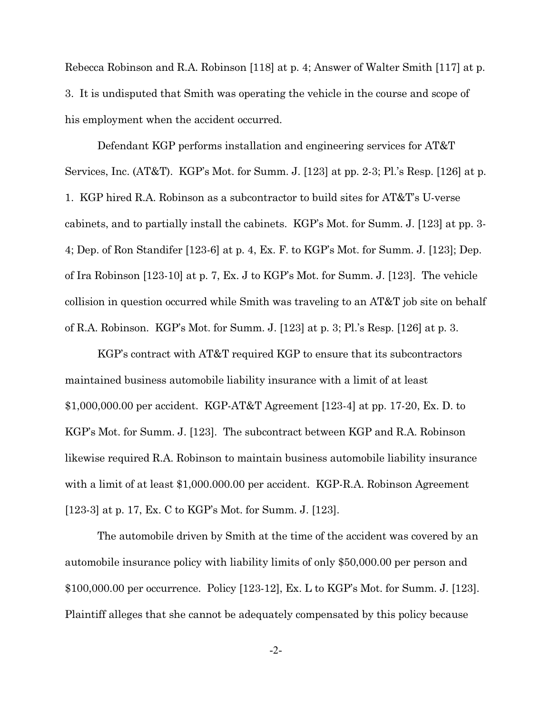Rebecca Robinson and R.A. Robinson [118] at p. 4; Answer of Walter Smith [117] at p. 3. It is undisputed that Smith was operating the vehicle in the course and scope of his employment when the accident occurred.

Defendant KGP performs installation and engineering services for AT&T Services, Inc. (AT&T). KGP's Mot. for Summ. J. [123] at pp. 2-3; Pl.'s Resp. [126] at p. 1. KGP hired R.A. Robinson as a subcontractor to build sites for AT&T's U-verse cabinets, and to partially install the cabinets. KGP's Mot. for Summ. J. [123] at pp. 3- 4; Dep. of Ron Standifer [123-6] at p. 4, Ex. F. to KGP's Mot. for Summ. J. [123]; Dep. of Ira Robinson [123-10] at p. 7, Ex. J to KGP's Mot. for Summ. J. [123]. The vehicle collision in question occurred while Smith was traveling to an AT&T job site on behalf of R.A. Robinson. KGP's Mot. for Summ. J. [123] at p. 3; Pl.'s Resp. [126] at p. 3.

KGP's contract with AT&T required KGP to ensure that its subcontractors maintained business automobile liability insurance with a limit of at least \$1,000,000.00 per accident. KGP-AT&T Agreement [123-4] at pp. 17-20, Ex. D. to KGP's Mot. for Summ. J. [123]. The subcontract between KGP and R.A. Robinson likewise required R.A. Robinson to maintain business automobile liability insurance with a limit of at least \$1,000.000.00 per accident. KGP-R.A. Robinson Agreement [123-3] at p. 17, Ex. C to KGP's Mot. for Summ. J. [123].

The automobile driven by Smith at the time of the accident was covered by an automobile insurance policy with liability limits of only \$50,000.00 per person and \$100,000.00 per occurrence. Policy [123-12], Ex. L to KGP's Mot. for Summ. J. [123]. Plaintiff alleges that she cannot be adequately compensated by this policy because

-2-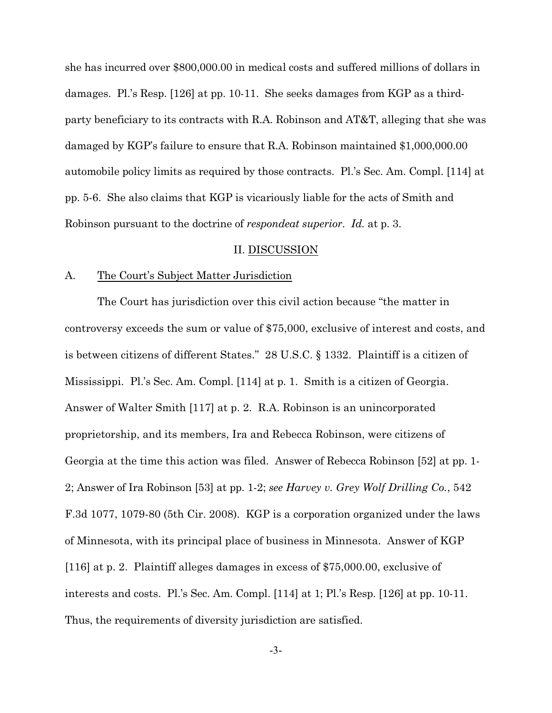she has incurred over \$800,000.00 in medical costs and suffered millions of dollars in damages. Pl.'s Resp. [126] at pp. 10-11. She seeks damages from KGP as a thirdparty beneficiary to its contracts with R.A. Robinson and AT&T, alleging that she was damaged by KGP's failure to ensure that R.A. Robinson maintained \$1,000,000.00 automobile policy limits as required by those contracts. Pl.'s Sec. Am. Compl. [114] at pp. 5-6. She also claims that KGP is vicariously liable for the acts of Smith and Robinson pursuant to the doctrine of *respondeat superior*. *Id.* at p. 3.

### II. DISCUSSION

#### A. The Court's Subject Matter Jurisdiction

The Court has jurisdiction over this civil action because "the matter in controversy exceeds the sum or value of \$75,000, exclusive of interest and costs, and is between citizens of different States." 28 U.S.C. § 1332. Plaintiff is a citizen of Mississippi. Pl.'s Sec. Am. Compl. [114] at p. 1. Smith is a citizen of Georgia. Answer of Walter Smith [117] at p. 2. R.A. Robinson is an unincorporated proprietorship, and its members, Ira and Rebecca Robinson, were citizens of Georgia at the time this action was filed. Answer of Rebecca Robinson [52] at pp. 1- 2; Answer of Ira Robinson [53] at pp. 1-2; *see Harvey v. Grey Wolf Drilling Co.*, 542 F.3d 1077, 1079-80 (5th Cir. 2008). KGP is a corporation organized under the laws of Minnesota, with its principal place of business in Minnesota. Answer of KGP [116] at p. 2. Plaintiff alleges damages in excess of \$75,000.00, exclusive of interests and costs. Pl.'s Sec. Am. Compl. [114] at 1; Pl.'s Resp. [126] at pp. 10-11. Thus, the requirements of diversity jurisdiction are satisfied.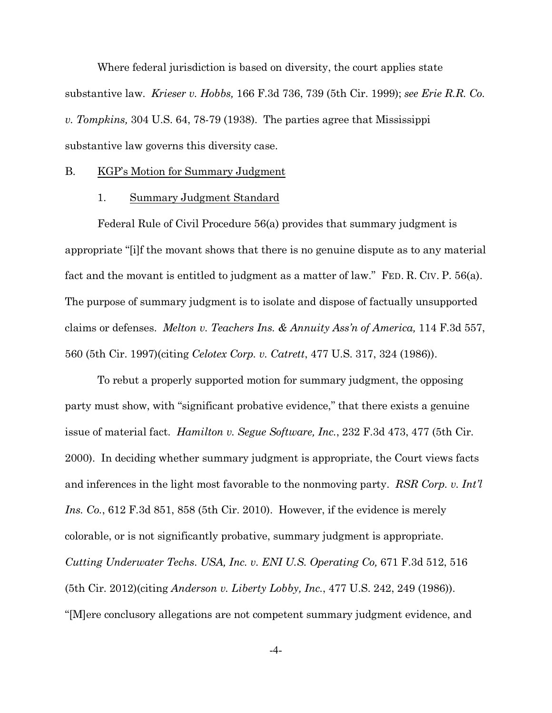Where federal jurisdiction is based on diversity, the court applies state substantive law. *Krieser v. Hobbs,* 166 F.3d 736, 739 (5th Cir. 1999); *see Erie R.R. Co. v. Tompkins,* 304 U.S. 64, 78-79 (1938). The parties agree that Mississippi substantive law governs this diversity case.

#### B. KGP's Motion for Summary Judgment

### 1. Summary Judgment Standard

Federal Rule of Civil Procedure 56(a) provides that summary judgment is appropriate "[i]f the movant shows that there is no genuine dispute as to any material fact and the movant is entitled to judgment as a matter of law." FED. R. CIV. P. 56(a). The purpose of summary judgment is to isolate and dispose of factually unsupported claims or defenses. *Melton v. Teachers Ins. & Annuity Ass'n of America,* 114 F.3d 557, 560 (5th Cir. 1997)(citing *Celotex Corp. v. Catrett*, 477 U.S. 317, 324 (1986)).

To rebut a properly supported motion for summary judgment, the opposing party must show, with "significant probative evidence," that there exists a genuine issue of material fact. *Hamilton v. Segue Software, Inc.*, 232 F.3d 473, 477 (5th Cir. 2000). In deciding whether summary judgment is appropriate, the Court views facts and inferences in the light most favorable to the nonmoving party. *RSR Corp. v. Int'l Ins. Co.*, 612 F.3d 851, 858 (5th Cir. 2010). However, if the evidence is merely colorable, or is not significantly probative, summary judgment is appropriate. *Cutting Underwater Techs*. *USA, Inc. v. ENI U.S. Operating Co,* 671 F.3d 512, 516 (5th Cir. 2012)(citing *Anderson v. Liberty Lobby, Inc.*, 477 U.S. 242, 249 (1986)). "[M]ere conclusory allegations are not competent summary judgment evidence, and

-4-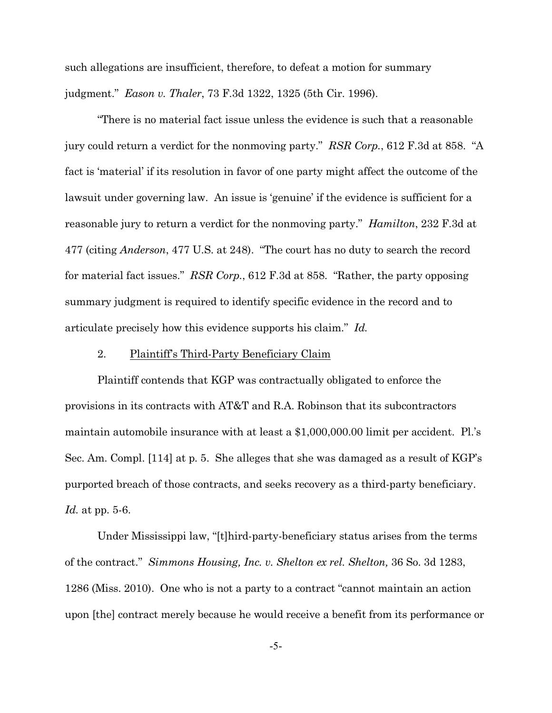such allegations are insufficient, therefore, to defeat a motion for summary judgment." *Eason v. Thaler*, 73 F.3d 1322, 1325 (5th Cir. 1996).

"There is no material fact issue unless the evidence is such that a reasonable jury could return a verdict for the nonmoving party." *RSR Corp.*, 612 F.3d at 858. "A fact is 'material' if its resolution in favor of one party might affect the outcome of the lawsuit under governing law. An issue is 'genuine' if the evidence is sufficient for a reasonable jury to return a verdict for the nonmoving party." *Hamilton*, 232 F.3d at 477 (citing *Anderson*, 477 U.S. at 248). "The court has no duty to search the record for material fact issues." *RSR Corp.*, 612 F.3d at 858. "Rather, the party opposing summary judgment is required to identify specific evidence in the record and to articulate precisely how this evidence supports his claim." *Id.* 

### 2. Plaintiff's Third-Party Beneficiary Claim

Plaintiff contends that KGP was contractually obligated to enforce the provisions in its contracts with AT&T and R.A. Robinson that its subcontractors maintain automobile insurance with at least a \$1,000,000.00 limit per accident. Pl.'s Sec. Am. Compl. [114] at p. 5. She alleges that she was damaged as a result of KGP's purported breach of those contracts, and seeks recovery as a third-party beneficiary. *Id.* at pp. 5-6.

Under Mississippi law, "[t]hird-party-beneficiary status arises from the terms of the contract." *Simmons Housing, Inc. v. Shelton ex rel. Shelton,* 36 So. 3d 1283, 1286 (Miss. 2010). One who is not a party to a contract "cannot maintain an action upon [the] contract merely because he would receive a benefit from its performance or

-5-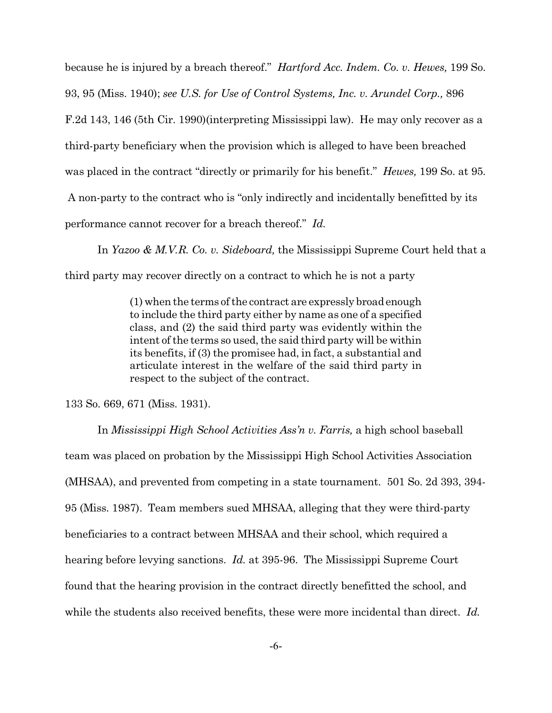because he is injured by a breach thereof." *Hartford Acc. Indem. Co. v. Hewes,* 199 So.

93, 95 (Miss. 1940); *see U.S. for Use of Control Systems, Inc. v. Arundel Corp.,* 896

F.2d 143, 146 (5th Cir. 1990)(interpreting Mississippi law). He may only recover as a

third-party beneficiary when the provision which is alleged to have been breached

was placed in the contract "directly or primarily for his benefit." *Hewes,* 199 So. at 95*.*

A non-party to the contract who is "only indirectly and incidentally benefitted by its

performance cannot recover for a breach thereof." *Id.* 

In *Yazoo & M.V.R. Co. v. Sideboard,* the Mississippi Supreme Court held that a third party may recover directly on a contract to which he is not a party

> (1) when the terms of the contract are expressly broadenough to include the third party either by name as one of a specified class, and (2) the said third party was evidently within the intent of the terms so used, the said third party will be within its benefits, if (3) the promisee had, in fact, a substantial and articulate interest in the welfare of the said third party in respect to the subject of the contract.

133 So. 669, 671 (Miss. 1931).

In *Mississippi High School Activities Ass'n v. Farris,* a high school baseball team was placed on probation by the Mississippi High School Activities Association (MHSAA), and prevented from competing in a state tournament. 501 So. 2d 393, 394- 95 (Miss. 1987). Team members sued MHSAA, alleging that they were third-party beneficiaries to a contract between MHSAA and their school, which required a hearing before levying sanctions. *Id.* at 395-96. The Mississippi Supreme Court found that the hearing provision in the contract directly benefitted the school, and while the students also received benefits, these were more incidental than direct. *Id.*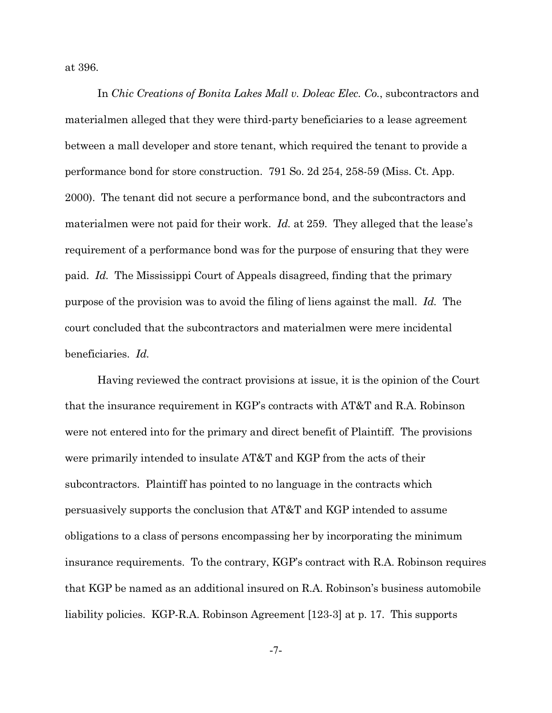at 396.

In *Chic Creations of Bonita Lakes Mall v. Doleac Elec. Co.*, subcontractors and materialmen alleged that they were third-party beneficiaries to a lease agreement between a mall developer and store tenant, which required the tenant to provide a performance bond for store construction. 791 So. 2d 254, 258-59 (Miss. Ct. App. 2000). The tenant did not secure a performance bond, and the subcontractors and materialmen were not paid for their work. *Id.* at 259. They alleged that the lease's requirement of a performance bond was for the purpose of ensuring that they were paid. *Id.* The Mississippi Court of Appeals disagreed, finding that the primary purpose of the provision was to avoid the filing of liens against the mall. *Id.* The court concluded that the subcontractors and materialmen were mere incidental beneficiaries. *Id.* 

Having reviewed the contract provisions at issue, it is the opinion of the Court that the insurance requirement in KGP's contracts with AT&T and R.A. Robinson were not entered into for the primary and direct benefit of Plaintiff. The provisions were primarily intended to insulate AT&T and KGP from the acts of their subcontractors. Plaintiff has pointed to no language in the contracts which persuasively supports the conclusion that AT&T and KGP intended to assume obligations to a class of persons encompassing her by incorporating the minimum insurance requirements. To the contrary, KGP's contract with R.A. Robinson requires that KGP be named as an additional insured on R.A. Robinson's business automobile liability policies. KGP-R.A. Robinson Agreement [123-3] at p. 17. This supports

-7-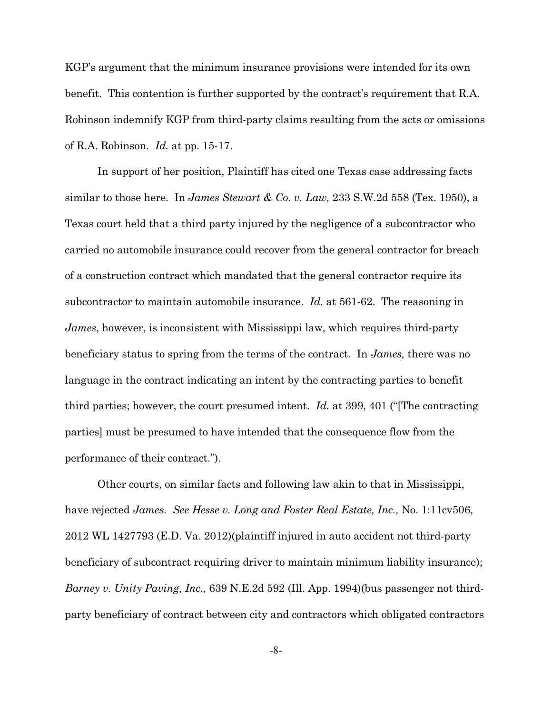KGP's argument that the minimum insurance provisions were intended for its own benefit. This contention is further supported by the contract's requirement that R.A. Robinson indemnify KGP from third-party claims resulting from the acts or omissions of R.A. Robinson. *Id.* at pp. 15-17.

In support of her position, Plaintiff has cited one Texas case addressing facts similar to those here. In *James Stewart & Co. v. Law,* 233 S.W.2d 558 (Tex. 1950), a Texas court held that a third party injured by the negligence of a subcontractor who carried no automobile insurance could recover from the general contractor for breach of a construction contract which mandated that the general contractor require its subcontractor to maintain automobile insurance. *Id.* at 561-62. The reasoning in *James*, however, is inconsistent with Mississippi law, which requires third-party beneficiary status to spring from the terms of the contract. In *James,* there was no language in the contract indicating an intent by the contracting parties to benefit third parties; however, the court presumed intent. *Id.* at 399, 401 ("[The contracting parties] must be presumed to have intended that the consequence flow from the performance of their contract.").

Other courts, on similar facts and following law akin to that in Mississippi, have rejected *James. See Hesse v. Long and Foster Real Estate, Inc.,* No. 1:11cv506, 2012 WL 1427793 (E.D. Va. 2012)(plaintiff injured in auto accident not third-party beneficiary of subcontract requiring driver to maintain minimum liability insurance); *Barney v. Unity Paving, Inc.,* 639 N.E.2d 592 (Ill. App. 1994)(bus passenger not thirdparty beneficiary of contract between city and contractors which obligated contractors

-8-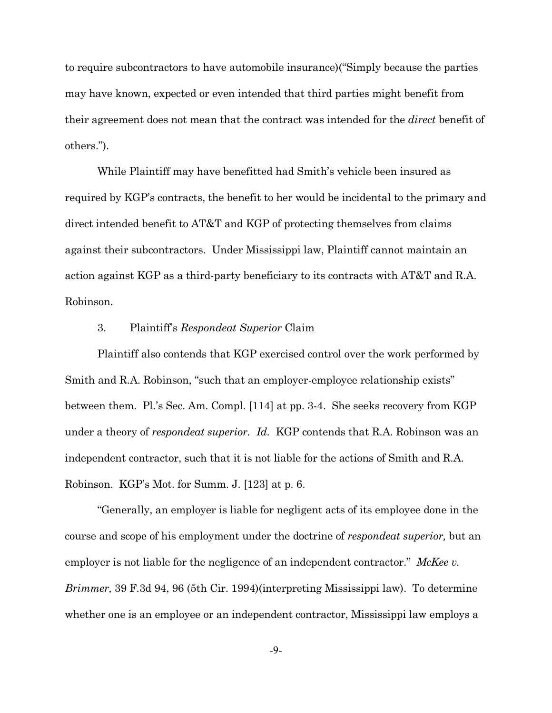to require subcontractors to have automobile insurance)("Simply because the parties may have known, expected or even intended that third parties might benefit from their agreement does not mean that the contract was intended for the *direct* benefit of others.").

While Plaintiff may have benefitted had Smith's vehicle been insured as required by KGP's contracts, the benefit to her would be incidental to the primary and direct intended benefit to AT&T and KGP of protecting themselves from claims against their subcontractors. Under Mississippi law, Plaintiff cannot maintain an action against KGP as a third-party beneficiary to its contracts with AT&T and R.A. Robinson.

#### 3. Plaintiff's *Respondeat Superior* Claim

Plaintiff also contends that KGP exercised control over the work performed by Smith and R.A. Robinson, "such that an employer-employee relationship exists" between them. Pl.'s Sec. Am. Compl. [114] at pp. 3-4. She seeks recovery from KGP under a theory of *respondeat superior. Id.* KGP contends that R.A. Robinson was an independent contractor, such that it is not liable for the actions of Smith and R.A. Robinson. KGP's Mot. for Summ. J. [123] at p. 6.

"Generally, an employer is liable for negligent acts of its employee done in the course and scope of his employment under the doctrine of *respondeat superior,* but an employer is not liable for the negligence of an independent contractor." *McKee v. Brimmer,* 39 F.3d 94, 96 (5th Cir. 1994)(interpreting Mississippi law). To determine whether one is an employee or an independent contractor, Mississippi law employs a

-9-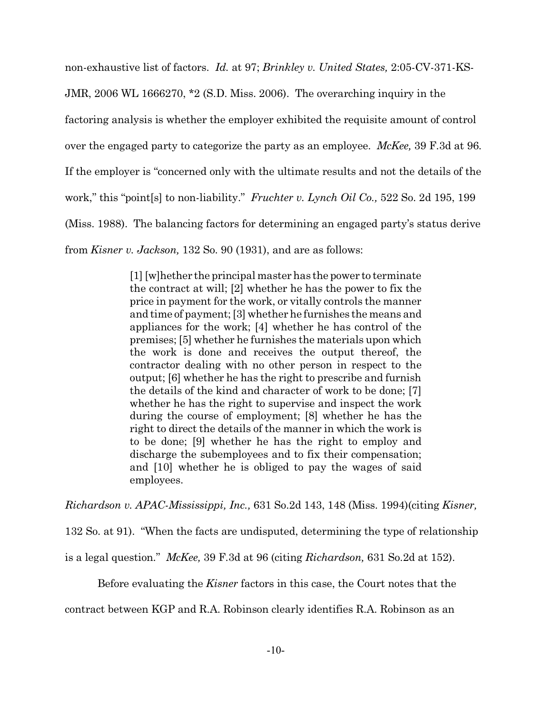non-exhaustive list of factors. *Id.* at 97; *Brinkley v. United States,* 2:05-CV-371-KS-JMR, 2006 WL 1666270, \*2 (S.D. Miss. 2006). The overarching inquiry in the factoring analysis is whether the employer exhibited the requisite amount of control over the engaged party to categorize the party as an employee. *McKee,* 39 F.3d at 96*.*  If the employer is "concerned only with the ultimate results and not the details of the work," this "point[s] to non-liability." *Fruchter v. Lynch Oil Co.,* 522 So. 2d 195, 199 (Miss. 1988). The balancing factors for determining an engaged party's status derive from *Kisner v. Jackson,* 132 So. 90 (1931), and are as follows:

> [1] [w]hether the principal masterhas the power to terminate the contract at will; [2] whether he has the power to fix the price in payment for the work, or vitally controls the manner and time of payment; [3] whether he furnishes the means and appliances for the work; [4] whether he has control of the premises; [5] whether he furnishes the materials upon which the work is done and receives the output thereof, the contractor dealing with no other person in respect to the output; [6] whether he has the right to prescribe and furnish the details of the kind and character of work to be done; [7] whether he has the right to supervise and inspect the work during the course of employment; [8] whether he has the right to direct the details of the manner in which the work is to be done; [9] whether he has the right to employ and discharge the subemployees and to fix their compensation; and [10] whether he is obliged to pay the wages of said employees.

*Richardson v. APAC-Mississippi, Inc.,* 631 So.2d 143, 148 (Miss. 1994)(citing *Kisner,*

132 So. at 91). "When the facts are undisputed, determining the type of relationship

is a legal question." *McKee,* 39 F.3d at 96 (citing *Richardson,* 631 So.2d at 152).

Before evaluating the *Kisner* factors in this case, the Court notes that the

contract between KGP and R.A. Robinson clearly identifies R.A. Robinson as an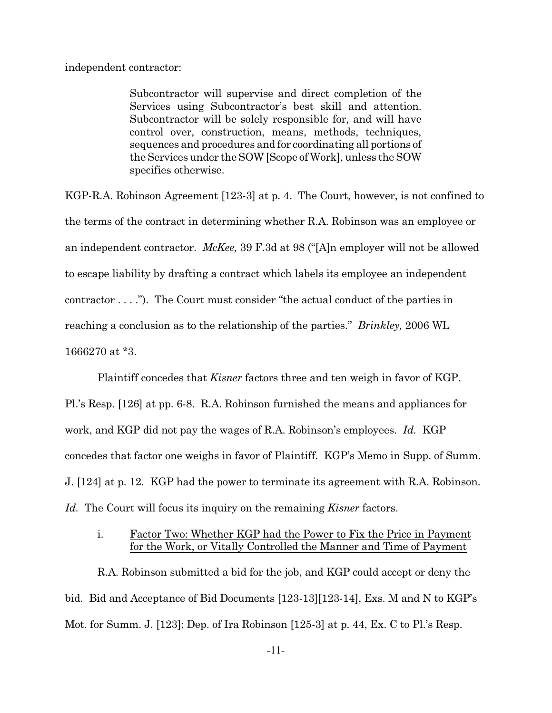independent contractor:

Subcontractor will supervise and direct completion of the Services using Subcontractor's best skill and attention. Subcontractor will be solely responsible for, and will have control over, construction, means, methods, techniques, sequences and procedures and for coordinating all portions of the Services under the SOW[Scope of Work], unless the SOW specifies otherwise.

KGP-R.A. Robinson Agreement [123-3] at p. 4. The Court, however, is not confined to the terms of the contract in determining whether R.A. Robinson was an employee or an independent contractor. *McKee,* 39 F.3d at 98 ("[A]n employer will not be allowed to escape liability by drafting a contract which labels its employee an independent contractor . . . ."). The Court must consider "the actual conduct of the parties in reaching a conclusion as to the relationship of the parties." *Brinkley,* 2006 WL 1666270 at \*3.

Plaintiff concedes that *Kisner* factors three and ten weigh in favor of KGP. Pl.'s Resp. [126] at pp. 6-8. R.A. Robinson furnished the means and appliances for work, and KGP did not pay the wages of R.A. Robinson's employees. *Id.* KGP concedes that factor one weighs in favor of Plaintiff. KGP's Memo in Supp. of Summ. J. [124] at p. 12. KGP had the power to terminate its agreement with R.A. Robinson. *Id.* The Court will focus its inquiry on the remaining *Kisner* factors.

## i. Factor Two: Whether KGP had the Power to Fix the Price in Payment for the Work, or Vitally Controlled the Manner and Time of Payment

R.A. Robinson submitted a bid for the job, and KGP could accept or deny the bid. Bid and Acceptance of Bid Documents [123-13][123-14], Exs. M and N to KGP's Mot. for Summ. J. [123]; Dep. of Ira Robinson [125-3] at p. 44, Ex. C to Pl.'s Resp.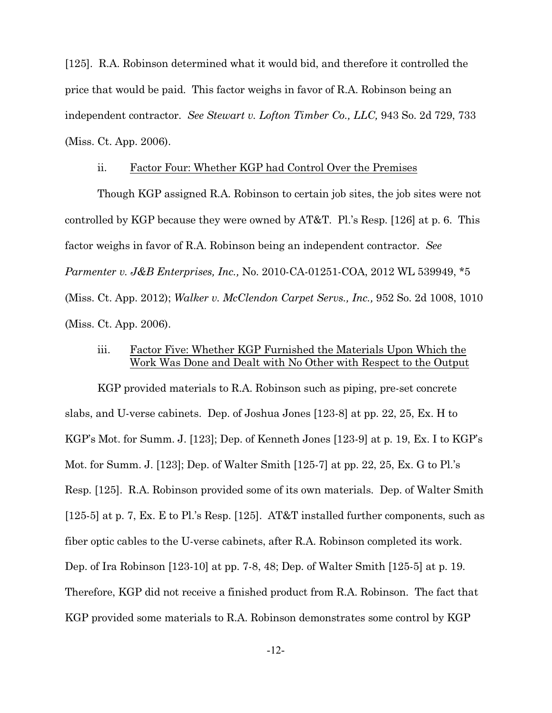[125]. R.A. Robinson determined what it would bid, and therefore it controlled the price that would be paid. This factor weighs in favor of R.A. Robinson being an independent contractor. *See Stewart v. Lofton Timber Co., LLC,* 943 So. 2d 729, 733 (Miss. Ct. App. 2006).

### ii. Factor Four: Whether KGP had Control Over the Premises

Though KGP assigned R.A. Robinson to certain job sites, the job sites were not controlled by KGP because they were owned by AT&T. Pl.'s Resp. [126] at p. 6. This factor weighs in favor of R.A. Robinson being an independent contractor. *See Parmenter v. J&B Enterprises, Inc.,* No. 2010-CA-01251-COA, 2012 WL 539949, \*5 (Miss. Ct. App. 2012); *Walker v. McClendon Carpet Servs., Inc.,* 952 So. 2d 1008, 1010 (Miss. Ct. App. 2006).

## iii. Factor Five: Whether KGP Furnished the Materials Upon Which the Work Was Done and Dealt with No Other with Respect to the Output

KGP provided materials to R.A. Robinson such as piping, pre-set concrete slabs, and U-verse cabinets. Dep. of Joshua Jones [123-8] at pp. 22, 25, Ex. H to KGP's Mot. for Summ. J. [123]; Dep. of Kenneth Jones [123-9] at p. 19, Ex. I to KGP's Mot. for Summ. J. [123]; Dep. of Walter Smith [125-7] at pp. 22, 25, Ex. G to Pl.'s Resp. [125]. R.A. Robinson provided some of its own materials. Dep. of Walter Smith [125-5] at p. 7, Ex. E to Pl.'s Resp. [125]. AT&T installed further components, such as fiber optic cables to the U-verse cabinets, after R.A. Robinson completed its work. Dep. of Ira Robinson [123-10] at pp. 7-8, 48; Dep. of Walter Smith [125-5] at p. 19. Therefore, KGP did not receive a finished product from R.A. Robinson. The fact that KGP provided some materials to R.A. Robinson demonstrates some control by KGP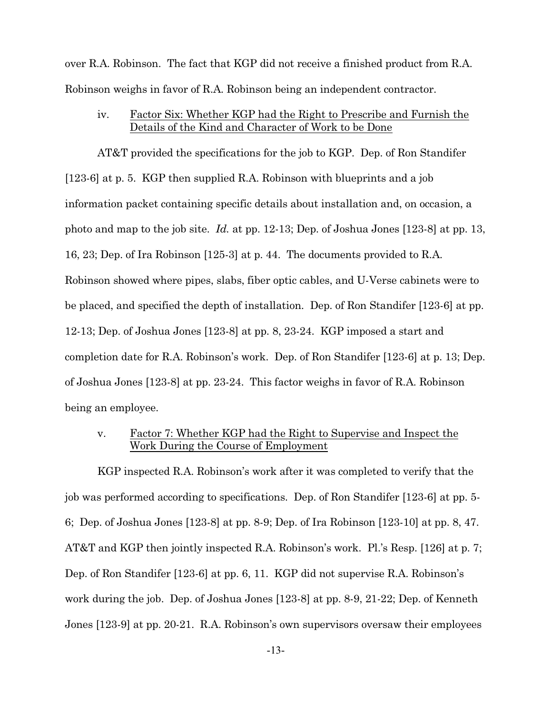over R.A. Robinson. The fact that KGP did not receive a finished product from R.A. Robinson weighs in favor of R.A. Robinson being an independent contractor.

iv. Factor Six: Whether KGP had the Right to Prescribe and Furnish the Details of the Kind and Character of Work to be Done

AT&T provided the specifications for the job to KGP. Dep. of Ron Standifer [123-6] at p. 5. KGP then supplied R.A. Robinson with blueprints and a job information packet containing specific details about installation and, on occasion, a photo and map to the job site. *Id.* at pp. 12-13; Dep. of Joshua Jones [123-8] at pp. 13, 16, 23; Dep. of Ira Robinson [125-3] at p. 44. The documents provided to R.A. Robinson showed where pipes, slabs, fiber optic cables, and U-Verse cabinets were to be placed, and specified the depth of installation. Dep. of Ron Standifer [123-6] at pp. 12-13; Dep. of Joshua Jones [123-8] at pp. 8, 23-24. KGP imposed a start and completion date for R.A. Robinson's work. Dep. of Ron Standifer [123-6] at p. 13; Dep. of Joshua Jones [123-8] at pp. 23-24. This factor weighs in favor of R.A. Robinson being an employee.

v. Factor 7: Whether KGP had the Right to Supervise and Inspect the Work During the Course of Employment

KGP inspected R.A. Robinson's work after it was completed to verify that the job was performed according to specifications. Dep. of Ron Standifer [123-6] at pp. 5- 6; Dep. of Joshua Jones [123-8] at pp. 8-9; Dep. of Ira Robinson [123-10] at pp. 8, 47. AT&T and KGP then jointly inspected R.A. Robinson's work. Pl.'s Resp. [126] at p. 7; Dep. of Ron Standifer [123-6] at pp. 6, 11. KGP did not supervise R.A. Robinson's work during the job. Dep. of Joshua Jones [123-8] at pp. 8-9, 21-22; Dep. of Kenneth Jones [123-9] at pp. 20-21. R.A. Robinson's own supervisors oversaw their employees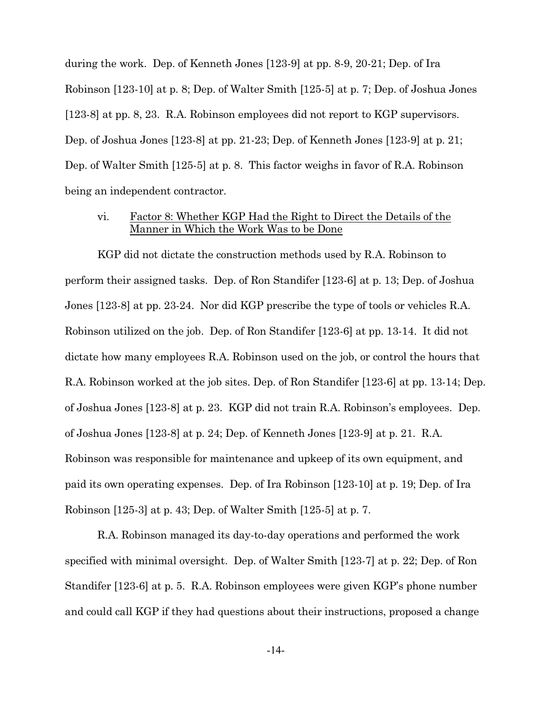during the work. Dep. of Kenneth Jones [123-9] at pp. 8-9, 20-21; Dep. of Ira Robinson [123-10] at p. 8; Dep. of Walter Smith [125-5] at p. 7; Dep. of Joshua Jones [123-8] at pp. 8, 23. R.A. Robinson employees did not report to KGP supervisors. Dep. of Joshua Jones [123-8] at pp. 21-23; Dep. of Kenneth Jones [123-9] at p. 21; Dep. of Walter Smith [125-5] at p. 8. This factor weighs in favor of R.A. Robinson being an independent contractor.

## vi. Factor 8: Whether KGP Had the Right to Direct the Details of the Manner in Which the Work Was to be Done

KGP did not dictate the construction methods used by R.A. Robinson to perform their assigned tasks. Dep. of Ron Standifer [123-6] at p. 13; Dep. of Joshua Jones [123-8] at pp. 23-24. Nor did KGP prescribe the type of tools or vehicles R.A. Robinson utilized on the job. Dep. of Ron Standifer [123-6] at pp. 13-14. It did not dictate how many employees R.A. Robinson used on the job, or control the hours that R.A. Robinson worked at the job sites. Dep. of Ron Standifer [123-6] at pp. 13-14; Dep. of Joshua Jones [123-8] at p. 23. KGP did not train R.A. Robinson's employees. Dep. of Joshua Jones [123-8] at p. 24; Dep. of Kenneth Jones [123-9] at p. 21. R.A. Robinson was responsible for maintenance and upkeep of its own equipment, and paid its own operating expenses. Dep. of Ira Robinson [123-10] at p. 19; Dep. of Ira Robinson [125-3] at p. 43; Dep. of Walter Smith [125-5] at p. 7.

R.A. Robinson managed its day-to-day operations and performed the work specified with minimal oversight. Dep. of Walter Smith [123-7] at p. 22; Dep. of Ron Standifer [123-6] at p. 5. R.A. Robinson employees were given KGP's phone number and could call KGP if they had questions about their instructions, proposed a change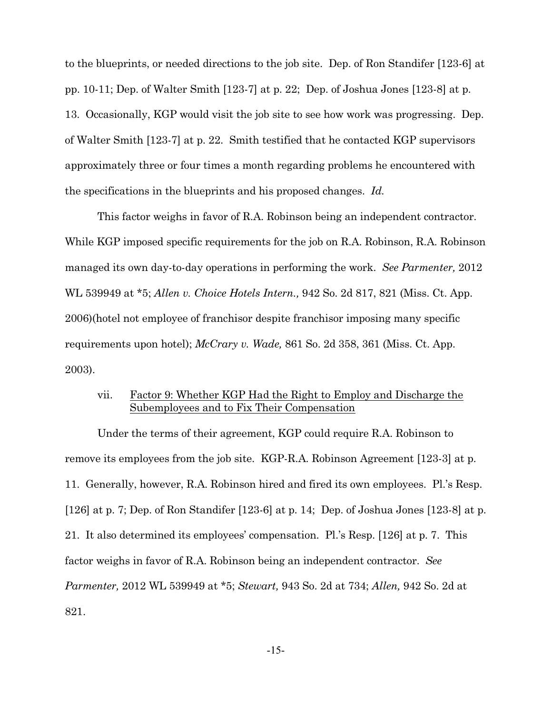to the blueprints, or needed directions to the job site. Dep. of Ron Standifer [123-6] at pp. 10-11; Dep. of Walter Smith [123-7] at p. 22; Dep. of Joshua Jones [123-8] at p. 13. Occasionally, KGP would visit the job site to see how work was progressing. Dep. of Walter Smith [123-7] at p. 22. Smith testified that he contacted KGP supervisors approximately three or four times a month regarding problems he encountered with the specifications in the blueprints and his proposed changes. *Id.*

This factor weighs in favor of R.A. Robinson being an independent contractor. While KGP imposed specific requirements for the job on R.A. Robinson, R.A. Robinson managed its own day-to-day operations in performing the work. *See Parmenter,* 2012 WL 539949 at \*5; *Allen v. Choice Hotels Intern.,* 942 So. 2d 817, 821 (Miss. Ct. App. 2006)(hotel not employee of franchisor despite franchisor imposing many specific requirements upon hotel); *McCrary v. Wade,* 861 So. 2d 358, 361 (Miss. Ct. App. 2003).

## vii. Factor 9: Whether KGP Had the Right to Employ and Discharge the Subemployees and to Fix Their Compensation

Under the terms of their agreement, KGP could require R.A. Robinson to remove its employees from the job site. KGP-R.A. Robinson Agreement [123-3] at p. 11. Generally, however, R.A. Robinson hired and fired its own employees. Pl.'s Resp. [126] at p. 7; Dep. of Ron Standifer [123-6] at p. 14; Dep. of Joshua Jones [123-8] at p. 21. It also determined its employees' compensation. Pl.'s Resp. [126] at p. 7.This factor weighs in favor of R.A. Robinson being an independent contractor. *See Parmenter,* 2012 WL 539949 at \*5; *Stewart,* 943 So. 2d at 734; *Allen,* 942 So. 2d at 821.